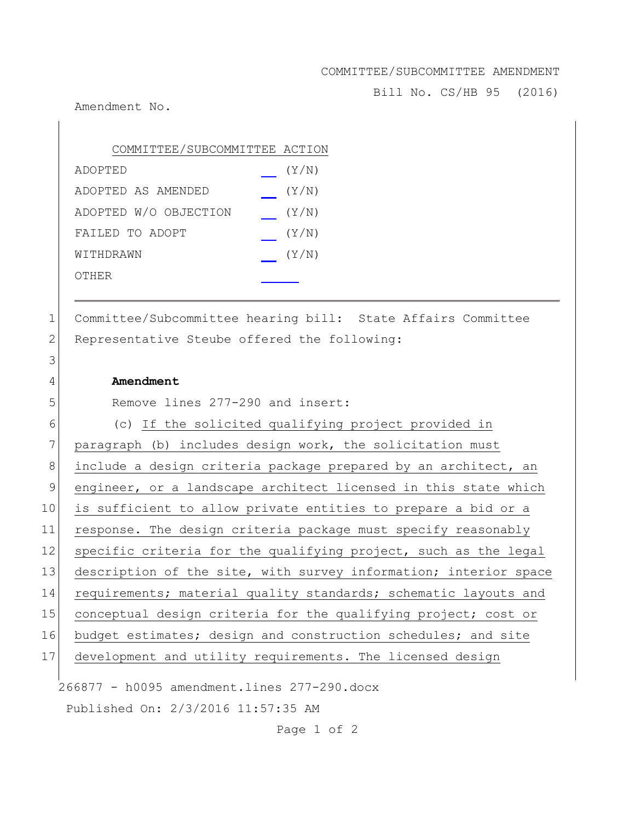## COMMITTEE/SUBCOMMITTEE AMENDMENT

Bill No. CS/HB 95 (2016)

Amendment No.

| COMMITTEE/SUBCOMMITTEE ACTION |       |
|-------------------------------|-------|
| ADOPTED                       | (Y/N) |
| ADOPTED AS AMENDED            | (Y/N) |
| ADOPTED W/O OBJECTION         | (Y/N) |
| FAILED TO ADOPT               | (Y/N) |
| WITHDRAWN                     | (Y/N) |
| OTHER                         |       |

1 Committee/Subcommittee hearing bill: State Affairs Committee 2 Representative Steube offered the following:

## 4 **Amendment**

3

5 Remove lines 277-290 and insert:

266877 - h0095 amendment.lines 277-290.docx Published On: 2/3/2016 11:57:35 AM 6 (c) If the solicited qualifying project provided in 7 paragraph (b) includes design work, the solicitation must 8 include a design criteria package prepared by an architect, an 9 engineer, or a landscape architect licensed in this state which 10 is sufficient to allow private entities to prepare a bid or a 11 response. The design criteria package must specify reasonably 12 specific criteria for the qualifying project, such as the legal 13 description of the site, with survey information; interior space 14 requirements; material quality standards; schematic layouts and 15 conceptual design criteria for the qualifying project; cost or 16 budget estimates; design and construction schedules; and site 17 development and utility requirements. The licensed design

Page 1 of 2